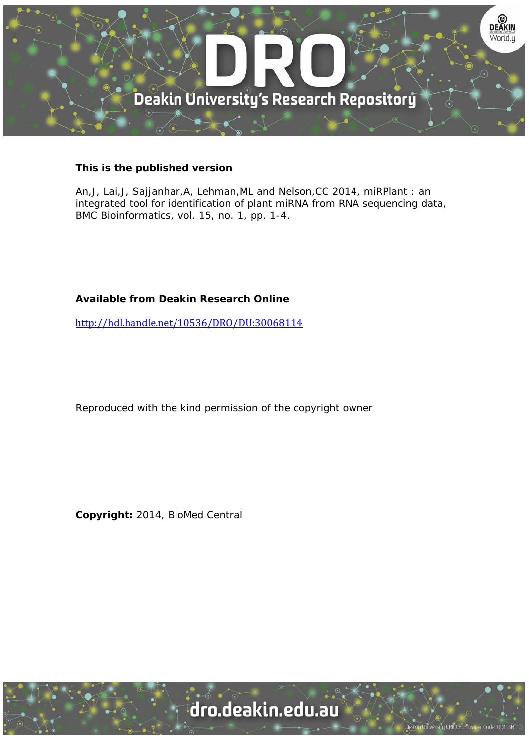

# **This is the published version**

An,J, Lai,J, Sajjanhar,A, Lehman,ML and Nelson,CC 2014, miRPlant : an integrated tool for identification of plant miRNA from RNA sequencing data, BMC Bioinformatics, vol. 15, no. 1, pp. 1-4.

# **Available from Deakin Research Online**

http://hdl.handle.net/10536/DRO/DU:30068114

Reproduced with the kind permission of the copyright owner

**Copyright:** 2014, BioMed Central

University CRICOS Provider Code: 00113B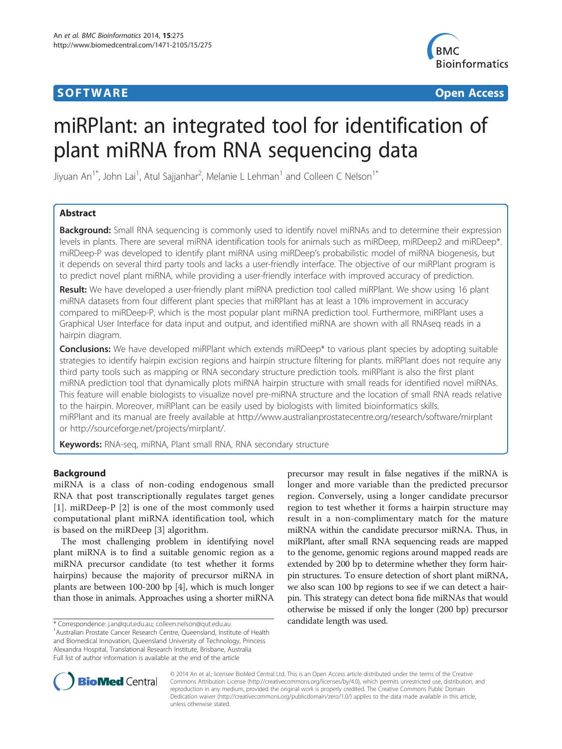# **SOFTWARE SOFTWARE** *CONSERVERSE EXECUTIVE EXECUTIVE EXECUTIVE EXECUTIVE EXECUTIVE EXECUTIVE EXECUTIVE EXECUTIVE EXECUTIVE EXECUTIVE EXECUTIVE EXECUTIVE EXECUTIVE EXECUTIVE EXECUTIVE EXECUTIVE EXECUTIVE EXECUTIVE EXECUT*



# miRPlant: an integrated tool for identification of plant miRNA from RNA sequencing data

Jiyuan An $^{\dagger}$ , John Lai $^{\dagger}$ , Atul Sajjanhar $^{\text{2}}$ , Melanie L Lehman $^{\text{1}}$  and Colleen C Nelson $^{\text{1}}$ 

# Abstract

**Background:** Small RNA sequencing is commonly used to identify novel miRNAs and to determine their expression levels in plants. There are several miRNA identification tools for animals such as miRDeep, miRDeep2 and miRDeep\*. miRDeep-P was developed to identify plant miRNA using miRDeep's probabilistic model of miRNA biogenesis, but it depends on several third party tools and lacks a user-friendly interface. The objective of our miRPlant program is to predict novel plant miRNA, while providing a user-friendly interface with improved accuracy of prediction.

Result: We have developed a user-friendly plant miRNA prediction tool called miRPlant. We show using 16 plant miRNA datasets from four different plant species that miRPlant has at least a 10% improvement in accuracy compared to miRDeep-P, which is the most popular plant miRNA prediction tool. Furthermore, miRPlant uses a Graphical User Interface for data input and output, and identified miRNA are shown with all RNAseq reads in a hairpin diagram.

**Conclusions:** We have developed miRPlant which extends miRDeep<sup>\*</sup> to various plant species by adopting suitable strategies to identify hairpin excision regions and hairpin structure filtering for plants. miRPlant does not require any third party tools such as mapping or RNA secondary structure prediction tools. miRPlant is also the first plant miRNA prediction tool that dynamically plots miRNA hairpin structure with small reads for identified novel miRNAs. This feature will enable biologists to visualize novel pre-miRNA structure and the location of small RNA reads relative to the hairpin. Moreover, miRPlant can be easily used by biologists with limited bioinformatics skills. miRPlant and its manual are freely available at<http://www.australianprostatecentre.org/research/software/mirplant> or<http://sourceforge.net/projects/mirplant/>.

Keywords: RNA-seq, miRNA, Plant small RNA, RNA secondary structure

# Background

miRNA is a class of non-coding endogenous small RNA that post transcriptionally regulates target genes [[1](#page-4-0)]. miRDeep-P [\[2](#page-4-0)] is one of the most commonly used computational plant miRNA identification tool, which is based on the miRDeep [[3\]](#page-4-0) algorithm.

The most challenging problem in identifying novel plant miRNA is to find a suitable genomic region as a miRNA precursor candidate (to test whether it forms hairpins) because the majority of precursor miRNA in plants are between 100-200 bp [[4\]](#page-4-0), which is much longer than those in animals. Approaches using a shorter miRNA

precursor may result in false negatives if the miRNA is longer and more variable than the predicted precursor region. Conversely, using a longer candidate precursor region to test whether it forms a hairpin structure may result in a non-complimentary match for the mature miRNA within the candidate precursor miRNA. Thus, in miRPlant, after small RNA sequencing reads are mapped to the genome, genomic regions around mapped reads are extended by 200 bp to determine whether they form hairpin structures. To ensure detection of short plant miRNA, we also scan 100 bp regions to see if we can detect a hairpin. This strategy can detect bona fide miRNAs that would otherwise be missed if only the longer (200 bp) precursor



© 2014 An et al.; licensee BioMed Central Ltd. This is an Open Access article distributed under the terms of the Creative Commons Attribution License [\(http://creativecommons.org/licenses/by/4.0\)](http://creativecommons.org/licenses/by/4.0), which permits unrestricted use, distribution, and reproduction in any medium, provided the original work is properly credited. The Creative Commons Public Domain Dedication waiver [\(http://creativecommons.org/publicdomain/zero/1.0/](http://creativecommons.org/publicdomain/zero/1.0/)) applies to the data made available in this article, unless otherwise stated.

candidate length was used. \* Correspondence: [j.an@qut.edu.au;](mailto:j.an@qut.edu.au) [colleen.nelson@qut.edu.au](mailto:colleen.nelson@qut.edu.au) <sup>1</sup>

<sup>&</sup>lt;sup>1</sup> Australian Prostate Cancer Research Centre, Queensland, Institute of Health and Biomedical Innovation, Queensland University of Technology, Princess Alexandra Hospital, Translational Research Institute, Brisbane, Australia Full list of author information is available at the end of the article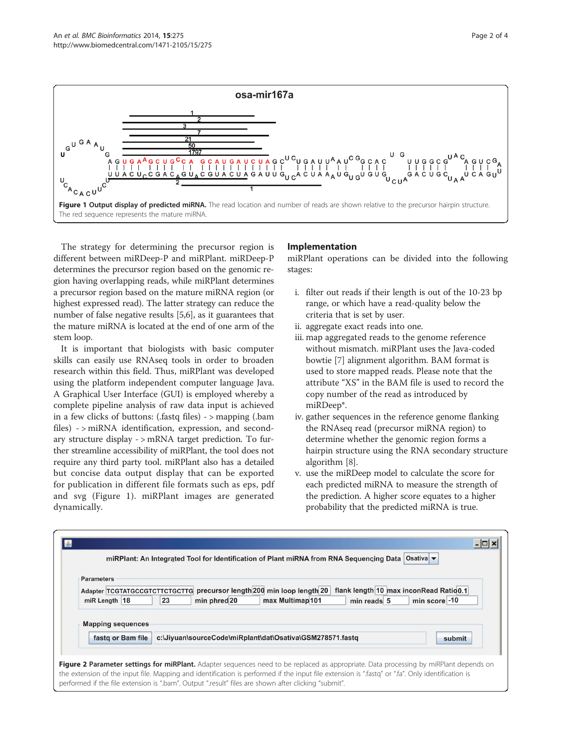<span id="page-2-0"></span>

The strategy for determining the precursor region is different between miRDeep-P and miRPlant. miRDeep-P determines the precursor region based on the genomic region having overlapping reads, while miRPlant determines a precursor region based on the mature miRNA region (or highest expressed read). The latter strategy can reduce the number of false negative results [\[5,6\]](#page-4-0), as it guarantees that the mature miRNA is located at the end of one arm of the stem loop.

It is important that biologists with basic computer skills can easily use RNAseq tools in order to broaden research within this field. Thus, miRPlant was developed using the platform independent computer language Java. A Graphical User Interface (GUI) is employed whereby a complete pipeline analysis of raw data input is achieved in a few clicks of buttons: (.fastq files) - > mapping (.bam files) - > miRNA identification, expression, and secondary structure display - > mRNA target prediction. To further streamline accessibility of miRPlant, the tool does not require any third party tool. miRPlant also has a detailed but concise data output display that can be exported for publication in different file formats such as eps, pdf and svg (Figure 1). miRPlant images are generated dynamically.

# Implementation

miRPlant operations can be divided into the following stages:

- i. filter out reads if their length is out of the 10-23 bp range, or which have a read-quality below the criteria that is set by user.
- ii. aggregate exact reads into one.
- iii. map aggregated reads to the genome reference without mismatch. miRPlant uses the Java-coded bowtie [[7\]](#page-4-0) alignment algorithm. BAM format is used to store mapped reads. Please note that the attribute "XS" in the BAM file is used to record the copy number of the read as introduced by miRDeep\*.
- iv. gather sequences in the reference genome flanking the RNAseq read (precursor miRNA region) to determine whether the genomic region forms a hairpin structure using the RNA secondary structure algorithm [[8](#page-4-0)].
- v. use the miRDeep model to calculate the score for each predicted miRNA to measure the strength of the prediction. A higher score equates to a higher probability that the predicted miRNA is true.

| <b>Parameters</b>        |                   |    |                                                                       |                  |             |                                        |
|--------------------------|-------------------|----|-----------------------------------------------------------------------|------------------|-------------|----------------------------------------|
|                          |                   |    | Adapter TCGTATGCCGTCTTCTGCTTG precursor length 200 min loop length 20 |                  |             | flank length 10 max inconRead Ratio0.1 |
| miR Length 18            |                   | 23 | min phred 20                                                          | max Multimap 101 | min reads 5 | $min$ score $-10$                      |
|                          |                   |    |                                                                       |                  |             |                                        |
| <b>Mapping sequences</b> |                   |    |                                                                       |                  |             |                                        |
|                          |                   |    |                                                                       |                  |             |                                        |
|                          | fastg or Bam file |    | c:\Jiyuan\sourceCode\miRplant\dat\Osativa\GSM278571.fastq             |                  |             | submit                                 |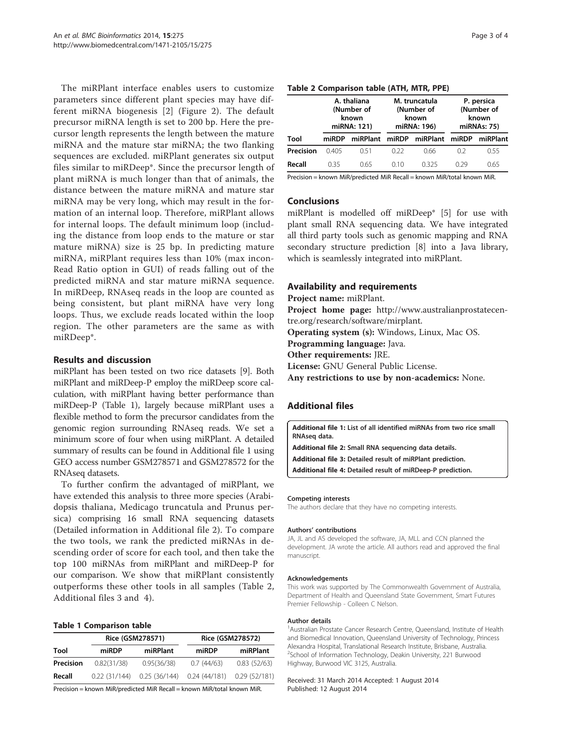The miRPlant interface enables users to customize parameters since different plant species may have different miRNA biogenesis [[2\]](#page-4-0) (Figure [2](#page-2-0)). The default precursor miRNA length is set to 200 bp. Here the precursor length represents the length between the mature miRNA and the mature star miRNA; the two flanking sequences are excluded. miRPlant generates six output files similar to miRDeep\*. Since the precursor length of plant miRNA is much longer than that of animals, the distance between the mature miRNA and mature star miRNA may be very long, which may result in the formation of an internal loop. Therefore, miRPlant allows for internal loops. The default minimum loop (including the distance from loop ends to the mature or star mature miRNA) size is 25 bp. In predicting mature miRNA, miRPlant requires less than 10% (max incon-Read Ratio option in GUI) of reads falling out of the predicted miRNA and star mature miRNA sequence. In miRDeep, RNAseq reads in the loop are counted as being consistent, but plant miRNA have very long loops. Thus, we exclude reads located within the loop region. The other parameters are the same as with miRDeep\*.

# Results and discussion

miRPlant has been tested on two rice datasets [\[9](#page-4-0)]. Both miRPlant and miRDeep-P employ the miRDeep score calculation, with miRPlant having better performance than miRDeep-P (Table 1), largely because miRPlant uses a flexible method to form the precursor candidates from the genomic region surrounding RNAseq reads. We set a minimum score of four when using miRPlant. A detailed summary of results can be found in Additional file 1 using GEO access number GSM278571 and GSM278572 for the RNAseq datasets.

To further confirm the advantaged of miRPlant, we have extended this analysis to three more species (Arabidopsis thaliana, Medicago truncatula and Prunus persica) comprising 16 small RNA sequencing datasets (Detailed information in Additional file 2). To compare the two tools, we rank the predicted miRNAs in descending order of score for each tool, and then take the top 100 miRNAs from miRPlant and miRDeep-P for our comparison. We show that miRPlant consistently outperforms these other tools in all samples (Table 2, Additional files 3 and 4).

## Table 1 Comparison table

|           |              | Rice (GSM278571) | Rice (GSM278572) |              |  |
|-----------|--------------|------------------|------------------|--------------|--|
| Tool      | miRDP        | miRPlant         | miRDP            | miRPlant     |  |
| Precision | 0.82(31/38)  | 0.95(36/38)      | 0.7(44/63)       | 0.83(52/63)  |  |
| Recall    | 0.22(31/144) | 0.25(36/144)     | 0.24(44/181)     | 0.29(52/181) |  |

Precision = known MiR/predicted MiR Recall = known MiR/total known MiR.

#### Table 2 Comparison table (ATH, MTR, PPE)

| Tool      |       | A. thaliana<br>(Number of<br>known<br>miRNA: 121) |       | M. truncatula<br>(Number of<br>known<br>miRNA: 196) | P. persica<br>(Number of<br>known<br>miRNAs: 75) |          |
|-----------|-------|---------------------------------------------------|-------|-----------------------------------------------------|--------------------------------------------------|----------|
|           | miRDP | miRPlant                                          | miRDP | miRPlant                                            | miRDP                                            | miRPlant |
| Precision | 0405  | 051                                               | 0.22  | 0.66                                                | 02                                               | 0.55     |
| Recall    | 035   | 065                                               | O 10  | 0325                                                | 0.29                                             | 0.65     |

Precision = known MiR/predicted MiR Recall = known MiR/total known MiR.

## Conclusions

miRPlant is modelled off miRDeep\* [\[5](#page-4-0)] for use with plant small RNA sequencing data. We have integrated all third party tools such as genomic mapping and RNA secondary structure prediction [[8](#page-4-0)] into a Java library, which is seamlessly integrated into miRPlant.

### Availability and requirements

Project name: miRPlant. Project home page: [http://www.australianprostatecen](http://www.australianprostatecentre.org/research/software/mirplant)[tre.org/research/software/mirplant.](http://www.australianprostatecentre.org/research/software/mirplant) Operating system (s): Windows, Linux, Mac OS. Programming language: Java. Other requirements: JRE. License: GNU General Public License. Any restrictions to use by non-academics: None.

# Additional files

[Additional file 1:](http://www.biomedcentral.com/content/supplementary/1471-2105-15-275-S1.xlsx) List of all identified miRNAs from two rice small RNAseq data.

[Additional file 2:](http://www.biomedcentral.com/content/supplementary/1471-2105-15-275-S2.docx) Small RNA sequencing data details.

[Additional file 3:](http://www.biomedcentral.com/content/supplementary/1471-2105-15-275-S3.xlsx) Detailed result of miRPlant prediction.

[Additional file 4:](http://www.biomedcentral.com/content/supplementary/1471-2105-15-275-S4.xlsx) Detailed result of miRDeep-P prediction.

#### Competing interests

The authors declare that they have no competing interests.

#### Authors' contributions

JA, JL and AS developed the software, JA, MLL and CCN planned the development. JA wrote the article. All authors read and approved the final manuscript.

#### Acknowledgements

This work was supported by The Commonwealth Government of Australia, Department of Health and Queensland State Government, Smart Futures Premier Fellowship - Colleen C Nelson.

#### Author details

<sup>1</sup> Australian Prostate Cancer Research Centre, Queensland, Institute of Health and Biomedical Innovation, Queensland University of Technology, Princess Alexandra Hospital, Translational Research Institute, Brisbane, Australia. 2 School of Information Technology, Deakin University, 221 Burwood Highway, Burwood VIC 3125, Australia.

#### Received: 31 March 2014 Accepted: 1 August 2014 Published: 12 August 2014